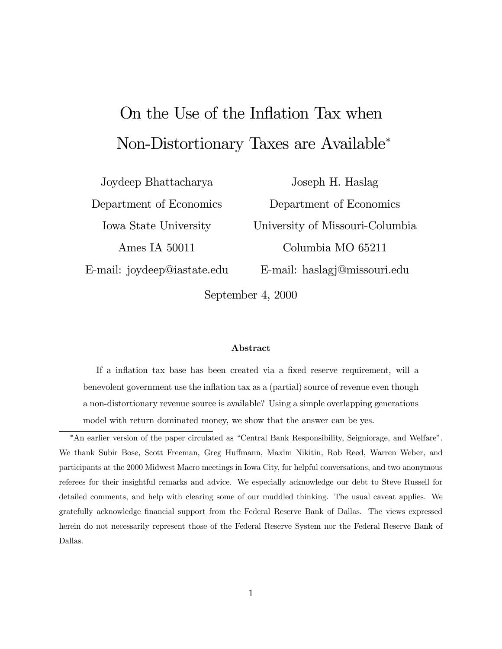# On the Use of the Inflation Tax when Non-Distortionary Taxes are Available<sup>∗</sup>

Joydeep Bhattacharya Department of Economics Iowa State University Ames IA 50011 E-mail: joydeep@iastate.edu

Joseph H. Haslag Department of Economics University of Missouri-Columbia Columbia MO 65211 E-mail: haslagj@missouri.edu

September 4, 2000

#### Abstract

If a inflation tax base has been created via a fixed reserve requirement, will a benevolent government use the inflation tax as a (partial) source of revenue even though a non-distortionary revenue source is available? Using a simple overlapping generations model with return dominated money, we show that the answer can be yes.

<sup>\*</sup>An earlier version of the paper circulated as "Central Bank Responsibility, Seigniorage, and Welfare". We thank Subir Bose, Scott Freeman, Greg Huffmann, Maxim Nikitin, Rob Reed, Warren Weber, and participants at the 2000 Midwest Macro meetings in Iowa City, for helpful conversations, and two anonymous referees for their insightful remarks and advice. We especially acknowledge our debt to Steve Russell for detailed comments, and help with clearing some of our muddled thinking. The usual caveat applies. We gratefully acknowledge financial support from the Federal Reserve Bank of Dallas. The views expressed herein do not necessarily represent those of the Federal Reserve System nor the Federal Reserve Bank of Dallas.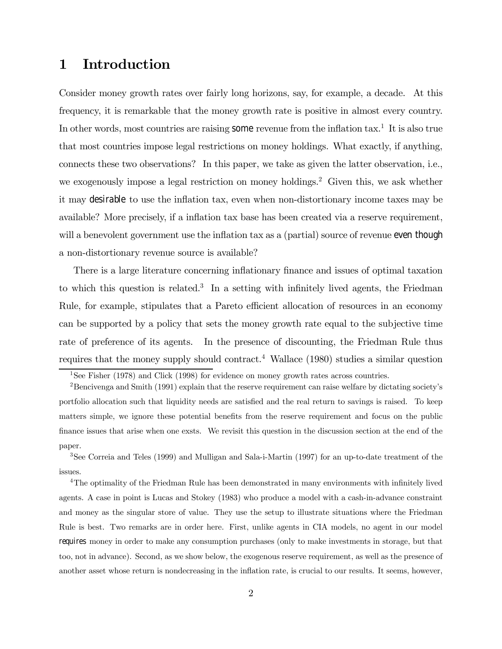# 1 Introduction

Consider money growth rates over fairly long horizons, say, for example, a decade. At this frequency, it is remarkable that the money growth rate is positive in almost every country. In other words, most countries are raising some revenue from the inflation  $\text{tax}.^1$  It is also true that most countries impose legal restrictions on money holdings. What exactly, if anything, connects these two observations? In this paper, we take as given the latter observation, i.e., we exogenously impose a legal restriction on money holdings.<sup>2</sup> Given this, we ask whether it may desirable to use the inflation tax, even when non-distortionary income taxes may be available? More precisely, if a inflation tax base has been created via a reserve requirement, will a benevolent government use the inflation tax as a (partial) source of revenue even though a non-distortionary revenue source is available?

There is a large literature concerning inflationary finance and issues of optimal taxation to which this question is related.<sup>3</sup> In a setting with infinitely lived agents, the Friedman Rule, for example, stipulates that a Pareto efficient allocation of resources in an economy can be supported by a policy that sets the money growth rate equal to the subjective time rate of preference of its agents. In the presence of discounting, the Friedman Rule thus requires that the money supply should contract.<sup>4</sup> Wallace (1980) studies a similar question

<sup>&</sup>lt;sup>1</sup>See Fisher (1978) and Click (1998) for evidence on money growth rates across countries.

<sup>&</sup>lt;sup>2</sup>Bencivenga and Smith (1991) explain that the reserve requirement can raise welfare by dictating society's portfolio allocation such that liquidity needs are satisfied and the real return to savings is raised. To keep matters simple, we ignore these potential benefits from the reserve requirement and focus on the public finance issues that arise when one exsts. We revisit this question in the discussion section at the end of the paper.

<sup>3</sup>See Correia and Teles (1999) and Mulligan and Sala-i-Martin (1997) for an up-to-date treatment of the issues.

<sup>&</sup>lt;sup>4</sup>The optimality of the Friedman Rule has been demonstrated in many environments with infinitely lived agents. A case in point is Lucas and Stokey (1983) who produce a model with a cash-in-advance constraint and money as the singular store of value. They use the setup to illustrate situations where the Friedman Rule is best. Two remarks are in order here. First, unlike agents in CIA models, no agent in our model requires money in order to make any consumption purchases (only to make investments in storage, but that too, not in advance). Second, as we show below, the exogenous reserve requirement, as well as the presence of another asset whose return is nondecreasing in the inflation rate, is crucial to our results. It seems, however,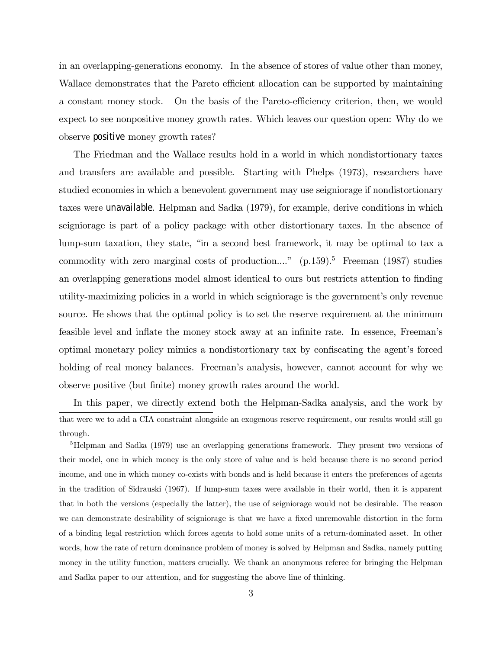in an overlapping-generations economy. In the absence of stores of value other than money, Wallace demonstrates that the Pareto efficient allocation can be supported by maintaining a constant money stock. On the basis of the Pareto-efficiency criterion, then, we would expect to see nonpositive money growth rates. Which leaves our question open: Why do we observe positive money growth rates?

The Friedman and the Wallace results hold in a world in which nondistortionary taxes and transfers are available and possible. Starting with Phelps (1973), researchers have studied economies in which a benevolent government may use seigniorage if nondistortionary taxes were unavailable. Helpman and Sadka (1979), for example, derive conditions in which seigniorage is part of a policy package with other distortionary taxes. In the absence of lump-sum taxation, they state, "in a second best framework, it may be optimal to tax a commodity with zero marginal costs of production...."  $(p.159)$ .<sup>5</sup> Freeman (1987) studies an overlapping generations model almost identical to ours but restricts attention to finding utility-maximizing policies in a world in which seigniorage is the government's only revenue source. He shows that the optimal policy is to set the reserve requirement at the minimum feasible level and inflate the money stock away at an infinite rate. In essence, Freemanís optimal monetary policy mimics a nondistortionary tax by confiscating the agent's forced holding of real money balances. Freeman's analysis, however, cannot account for why we observe positive (but finite) money growth rates around the world.

In this paper, we directly extend both the Helpman-Sadka analysis, and the work by that were we to add a CIA constraint alongside an exogenous reserve requirement, our results would still go through.

<sup>5</sup>Helpman and Sadka (1979) use an overlapping generations framework. They present two versions of their model, one in which money is the only store of value and is held because there is no second period income, and one in which money co-exists with bonds and is held because it enters the preferences of agents in the tradition of Sidrauski (1967). If lump-sum taxes were available in their world, then it is apparent that in both the versions (especially the latter), the use of seigniorage would not be desirable. The reason we can demonstrate desirability of seigniorage is that we have a fixed unremovable distortion in the form of a binding legal restriction which forces agents to hold some units of a return-dominated asset. In other words, how the rate of return dominance problem of money is solved by Helpman and Sadka, namely putting money in the utility function, matters crucially. We thank an anonymous referee for bringing the Helpman and Sadka paper to our attention, and for suggesting the above line of thinking.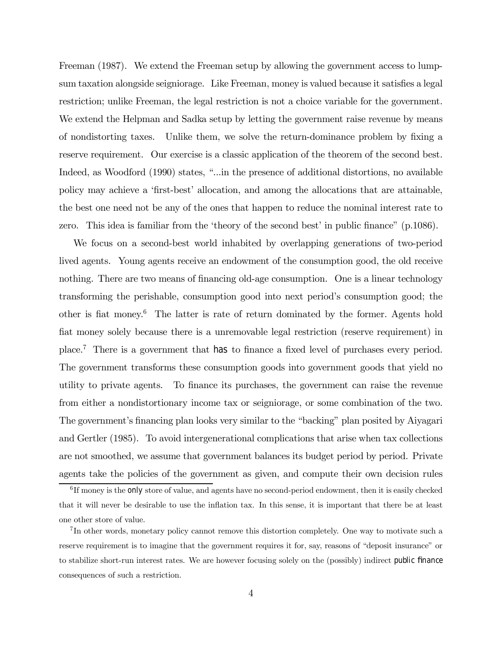Freeman (1987). We extend the Freeman setup by allowing the government access to lumpsum taxation alongside seigniorage. Like Freeman, money is valued because it satisfies a legal restriction; unlike Freeman, the legal restriction is not a choice variable for the government. We extend the Helpman and Sadka setup by letting the government raise revenue by means of nondistorting taxes. Unlike them, we solve the return-dominance problem by fixing a reserve requirement. Our exercise is a classic application of the theorem of the second best. Indeed, as Woodford (1990) states, "...in the presence of additional distortions, no available policy may achieve a ëfirst-bestí allocation, and among the allocations that are attainable, the best one need not be any of the ones that happen to reduce the nominal interest rate to zero. This idea is familiar from the 'theory of the second best' in public finance"  $(p.1086)$ .

We focus on a second-best world inhabited by overlapping generations of two-period lived agents. Young agents receive an endowment of the consumption good, the old receive nothing. There are two means of financing old-age consumption. One is a linear technology transforming the perishable, consumption good into next period's consumption good; the other is fiat money.6 The latter is rate of return dominated by the former. Agents hold fiat money solely because there is a unremovable legal restriction (reserve requirement) in place.7 There is a government that has to finance a fixed level of purchases every period. The government transforms these consumption goods into government goods that yield no utility to private agents. To finance its purchases, the government can raise the revenue from either a nondistortionary income tax or seigniorage, or some combination of the two. The government's financing plan looks very similar to the "backing" plan posited by Aiyagari and Gertler (1985). To avoid intergenerational complications that arise when tax collections are not smoothed, we assume that government balances its budget period by period. Private agents take the policies of the government as given, and compute their own decision rules

 ${}^{6}$ If money is the only store of value, and agents have no second-period endowment, then it is easily checked that it will never be desirable to use the inflation tax. In this sense, it is important that there be at least one other store of value.

<sup>7</sup> In other words, monetary policy cannot remove this distortion completely. One way to motivate such a reserve requirement is to imagine that the government requires it for, say, reasons of "deposit insurance" or to stabilize short-run interest rates. We are however focusing solely on the (possibly) indirect public finance consequences of such a restriction.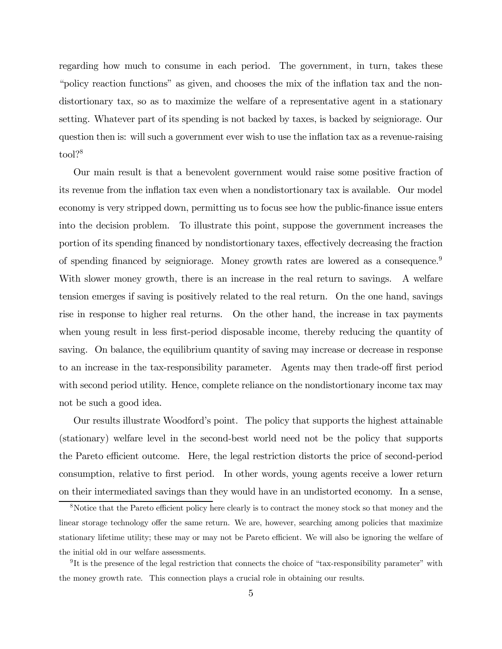regarding how much to consume in each period. The government, in turn, takes these ìpolicy reaction functionsî as given, and chooses the mix of the inflation tax and the nondistortionary tax, so as to maximize the welfare of a representative agent in a stationary setting. Whatever part of its spending is not backed by taxes, is backed by seigniorage. Our question then is: will such a government ever wish to use the inflation tax as a revenue-raising tool?<sup>8</sup>

Our main result is that a benevolent government would raise some positive fraction of its revenue from the inflation tax even when a nondistortionary tax is available. Our model economy is very stripped down, permitting us to focus see how the public-finance issue enters into the decision problem. To illustrate this point, suppose the government increases the portion of its spending financed by nondistortionary taxes, effectively decreasing the fraction of spending financed by seigniorage. Money growth rates are lowered as a consequence.<sup>9</sup> With slower money growth, there is an increase in the real return to savings. A welfare tension emerges if saving is positively related to the real return. On the one hand, savings rise in response to higher real returns. On the other hand, the increase in tax payments when young result in less first-period disposable income, thereby reducing the quantity of saving. On balance, the equilibrium quantity of saving may increase or decrease in response to an increase in the tax-responsibility parameter. Agents may then trade-off first period with second period utility. Hence, complete reliance on the nondistortionary income tax may not be such a good idea.

Our results illustrate Woodfordís point. The policy that supports the highest attainable (stationary) welfare level in the second-best world need not be the policy that supports the Pareto efficient outcome. Here, the legal restriction distorts the price of second-period consumption, relative to first period. In other words, young agents receive a lower return on their intermediated savings than they would have in an undistorted economy. In a sense,

<sup>8</sup>Notice that the Pareto efficient policy here clearly is to contract the money stock so that money and the linear storage technology offer the same return. We are, however, searching among policies that maximize stationary lifetime utility; these may or may not be Pareto efficient. We will also be ignoring the welfare of the initial old in our welfare assessments.

 $9$ It is the presence of the legal restriction that connects the choice of "tax-responsibility parameter" with the money growth rate. This connection plays a crucial role in obtaining our results.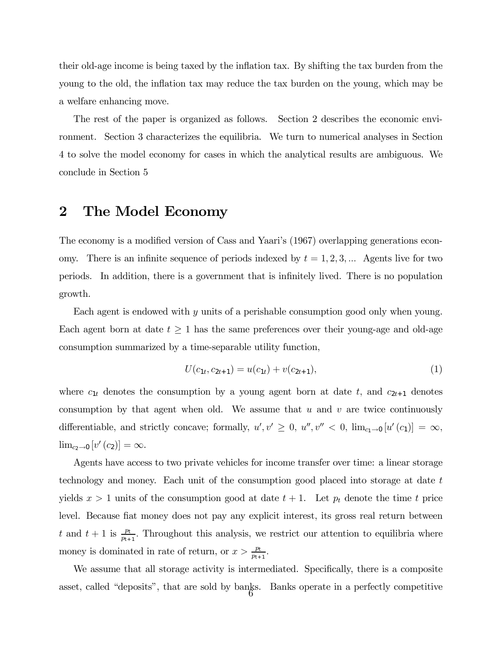their old-age income is being taxed by the inflation tax. By shifting the tax burden from the young to the old, the inflation tax may reduce the tax burden on the young, which may be a welfare enhancing move.

The rest of the paper is organized as follows. Section 2 describes the economic environment. Section 3 characterizes the equilibria. We turn to numerical analyses in Section 4 to solve the model economy for cases in which the analytical results are ambiguous. We conclude in Section 5

### 2 The Model Economy

The economy is a modified version of Cass and Yaari's (1967) overlapping generations economy. There is an infinite sequence of periods indexed by  $t = 1, 2, 3, \dots$  Agents live for two periods. In addition, there is a government that is infinitely lived. There is no population growth.

Each agent is endowed with y units of a perishable consumption good only when young. Each agent born at date  $t \geq 1$  has the same preferences over their young-age and old-age consumption summarized by a time-separable utility function,

$$
U(c_{1t}, c_{2t+1}) = u(c_{1t}) + v(c_{2t+1}),
$$
\n(1)

where  $c_{1t}$  denotes the consumption by a young agent born at date t, and  $c_{2t+1}$  denotes consumption by that agent when old. We assume that  $u$  and  $v$  are twice continuously differentiable, and strictly concave; formally,  $u', v' \geq 0$ ,  $u'', v'' < 0$ ,  $\lim_{c_1 \to 0} [u'(c_1)] = \infty$ ,  $\lim_{c_2\to 0} [v'(c_2)] = \infty.$ 

Agents have access to two private vehicles for income transfer over time: a linear storage technology and money. Each unit of the consumption good placed into storage at date t yields  $x > 1$  units of the consumption good at date  $t + 1$ . Let  $p_t$  denote the time t price level. Because fiat money does not pay any explicit interest, its gross real return between t and  $t+1$  is  $\frac{p_t}{p_{t+1}}$ . Throughout this analysis, we restrict our attention to equilibria where money is dominated in rate of return, or  $x > \frac{p_t}{p_{t+1}}$ .

We assume that all storage activity is intermediated. Specifically, there is a composite asset, called "deposits", that are sold by banks. Banks operate in a perfectly competitive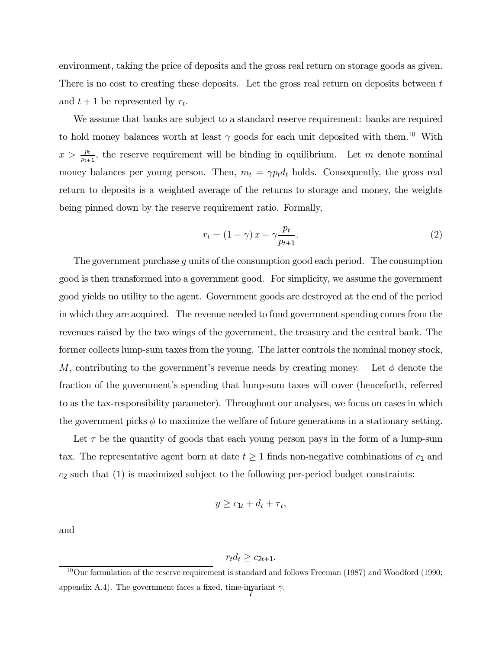environment, taking the price of deposits and the gross real return on storage goods as given. There is no cost to creating these deposits. Let the gross real return on deposits between t and  $t + 1$  be represented by  $r_t$ .

We assume that banks are subject to a standard reserve requirement: banks are required to hold money balances worth at least  $\gamma$  goods for each unit deposited with them.<sup>10</sup> With  $x > \frac{pt}{pt+1}$ , the reserve requirement will be binding in equilibrium. Let m denote nominal money balances per young person. Then,  $m_t = \gamma p_t d_t$  holds. Consequently, the gross real return to deposits is a weighted average of the returns to storage and money, the weights being pinned down by the reserve requirement ratio. Formally,

$$
r_t = (1 - \gamma) x + \gamma \frac{p_t}{p_{t+1}}.\tag{2}
$$

The government purchase g units of the consumption good each period. The consumption good is then transformed into a government good. For simplicity, we assume the government good yields no utility to the agent. Government goods are destroyed at the end of the period in which they are acquired. The revenue needed to fund government spending comes from the revenues raised by the two wings of the government, the treasury and the central bank. The former collects lump-sum taxes from the young. The latter controls the nominal money stock, M, contributing to the government's revenue needs by creating money. Let  $\phi$  denote the fraction of the government's spending that lump-sum taxes will cover (henceforth, referred to as the tax-responsibility parameter). Throughout our analyses, we focus on cases in which the government picks  $\phi$  to maximize the welfare of future generations in a stationary setting.

Let  $\tau$  be the quantity of goods that each young person pays in the form of a lump-sum tax. The representative agent born at date  $t \geq 1$  finds non-negative combinations of  $c_1$  and  $c_2$  such that  $(1)$  is maximized subject to the following per-period budget constraints:

$$
y \geq c_{1t} + d_t + \tau_t,
$$

and

$$
r_t d_t \geq c_{2t+1}.
$$

 $10$ Our formulation of the reserve requirement is standard and follows Freeman (1987) and Woodford (1990; appendix A.4). The government faces a fixed, time-invariant  $\gamma$ .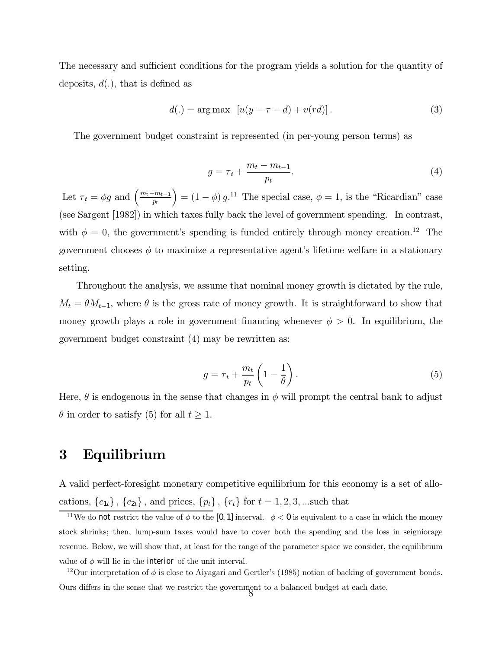The necessary and sufficient conditions for the program yields a solution for the quantity of deposits,  $d(.)$ , that is defined as

$$
d(.) = \arg \max \left[ u(y - \tau - d) + v(rd) \right]. \tag{3}
$$

The government budget constraint is represented (in per-young person terms) as

$$
g = \tau_t + \frac{m_t - m_{t-1}}{p_t}.\tag{4}
$$

Let  $\tau_t = \phi g$  and  $\left(\frac{m_t - m_{t-1}}{p_t}\right)$  $= (1 - \phi) g$ <sup>11</sup> The special case,  $\phi = 1$ , is the "Ricardian" case (see Sargent [1982]) in which taxes fully back the level of government spending. In contrast, with  $\phi = 0$ , the government's spending is funded entirely through money creation.<sup>12</sup> The government chooses  $\phi$  to maximize a representative agent's lifetime welfare in a stationary setting.

Throughout the analysis, we assume that nominal money growth is dictated by the rule,  $M_t = \theta M_{t-1}$ , where  $\theta$  is the gross rate of money growth. It is straightforward to show that money growth plays a role in government financing whenever  $\phi > 0$ . In equilibrium, the government budget constraint (4) may be rewritten as:

$$
g = \tau_t + \frac{m_t}{p_t} \left( 1 - \frac{1}{\theta} \right). \tag{5}
$$

Here,  $\theta$  is endogenous in the sense that changes in  $\phi$  will prompt the central bank to adjust  $\theta$  in order to satisfy (5) for all  $t \geq 1$ .

### 3 Equilibrium

A valid perfect-foresight monetary competitive equilibrium for this economy is a set of allocations,  ${c_{1t}}$ ,  ${c_{2t}}$ , and prices,  ${p_t}$ ,  ${r_t}$  for  $t = 1, 2, 3, ...$ such that

<sup>&</sup>lt;sup>11</sup>We do not restrict the value of  $\phi$  to the [0, 1] interval.  $\phi < 0$  is equivalent to a case in which the money stock shrinks; then, lump-sum taxes would have to cover both the spending and the loss in seigniorage revenue. Below, we will show that, at least for the range of the parameter space we consider, the equilibrium value of  $\phi$  will lie in the interior of the unit interval.

<sup>&</sup>lt;sup>12</sup>Our interpretation of  $\phi$  is close to Aiyagari and Gertler's (1985) notion of backing of government bonds. Ours differs in the sense that we restrict the government to a balanced budget at each date.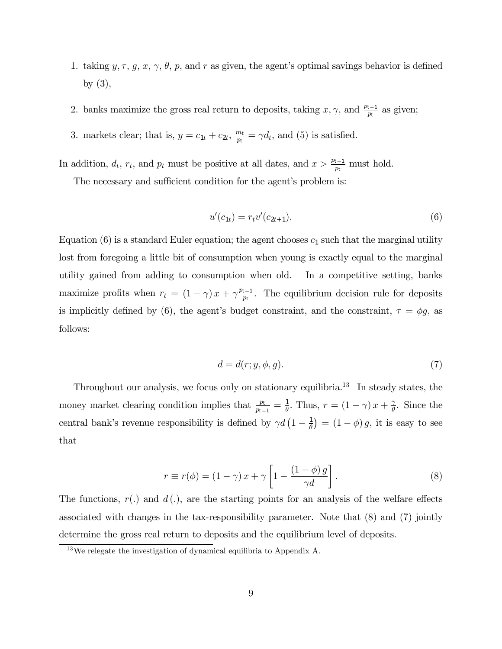- 1. taking  $y, \tau, g, x, \gamma, \theta, p$ , and r as given, the agent's optimal savings behavior is defined by (3),
- 2. banks maximize the gross real return to deposits, taking  $x, \gamma$ , and  $\frac{p_{t-1}}{p_t}$  as given;
- 3. markets clear; that is,  $y = c_{1t} + c_{2t}$ ,  $\frac{m_t}{p_t} = \gamma d_t$ , and (5) is satisfied.

In addition,  $d_t$ ,  $r_t$ , and  $p_t$  must be positive at all dates, and  $x > \frac{p_{t-1}}{p_t}$  must hold.

The necessary and sufficient condition for the agent's problem is:

$$
u'(c_{1t}) = r_t v'(c_{2t+1}).
$$
\n(6)

Equation (6) is a standard Euler equation; the agent chooses  $c_1$  such that the marginal utility lost from foregoing a little bit of consumption when young is exactly equal to the marginal utility gained from adding to consumption when old. In a competitive setting, banks maximize profits when  $r_t = (1 - \gamma)x + \gamma \frac{p_{t-1}}{p_t}$ . The equilibrium decision rule for deposits is implicitly defined by (6), the agent's budget constraint, and the constraint,  $\tau = \phi g$ , as follows:

$$
d = d(r; y, \phi, g). \tag{7}
$$

Throughout our analysis, we focus only on stationary equilibria.<sup>13</sup> In steady states, the money market clearing condition implies that  $\frac{p_t}{p_{t-1}} = \frac{1}{\theta}$ . Thus,  $r = (1 - \gamma) x + \frac{\gamma}{\theta}$ . Since the central bank's revenue responsibility is defined by  $\gamma d\left(1-\frac{1}{\theta}\right) = (1-\phi)g$ , it is easy to see that

$$
r \equiv r(\phi) = (1 - \gamma) x + \gamma \left[ 1 - \frac{(1 - \phi) g}{\gamma d} \right]. \tag{8}
$$

The functions,  $r(.)$  and  $d(.)$ , are the starting points for an analysis of the welfare effects associated with changes in the tax-responsibility parameter. Note that (8) and (7) jointly determine the gross real return to deposits and the equilibrium level of deposits.

<sup>13</sup>We relegate the investigation of dynamical equilibria to Appendix A.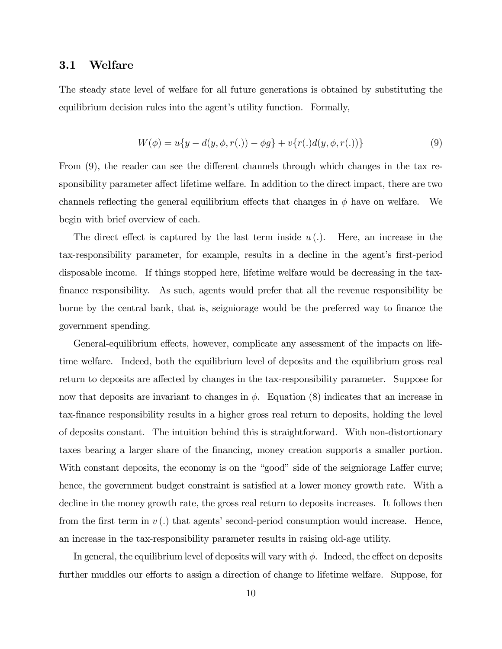#### 3.1 Welfare

The steady state level of welfare for all future generations is obtained by substituting the equilibrium decision rules into the agent's utility function. Formally,

$$
W(\phi) = u\{y - d(y, \phi, r(.)) - \phi g\} + v\{r(.)d(y, \phi, r(.))\}
$$
\n(9)

From (9), the reader can see the different channels through which changes in the tax responsibility parameter affect lifetime welfare. In addition to the direct impact, there are two channels reflecting the general equilibrium effects that changes in  $\phi$  have on welfare. We begin with brief overview of each.

The direct effect is captured by the last term inside  $u(.)$ . Here, an increase in the tax-responsibility parameter, for example, results in a decline in the agent's first-period disposable income. If things stopped here, lifetime welfare would be decreasing in the taxfinance responsibility. As such, agents would prefer that all the revenue responsibility be borne by the central bank, that is, seigniorage would be the preferred way to finance the government spending.

General-equilibrium effects, however, complicate any assessment of the impacts on lifetime welfare. Indeed, both the equilibrium level of deposits and the equilibrium gross real return to deposits are affected by changes in the tax-responsibility parameter. Suppose for now that deposits are invariant to changes in  $\phi$ . Equation (8) indicates that an increase in tax-finance responsibility results in a higher gross real return to deposits, holding the level of deposits constant. The intuition behind this is straightforward. With non-distortionary taxes bearing a larger share of the financing, money creation supports a smaller portion. With constant deposits, the economy is on the "good" side of the seigniorage Laffer curve; hence, the government budget constraint is satisfied at a lower money growth rate. With a decline in the money growth rate, the gross real return to deposits increases. It follows then from the first term in  $v(.)$  that agents' second-period consumption would increase. Hence, an increase in the tax-responsibility parameter results in raising old-age utility.

In general, the equilibrium level of deposits will vary with  $\phi$ . Indeed, the effect on deposits further muddles our efforts to assign a direction of change to lifetime welfare. Suppose, for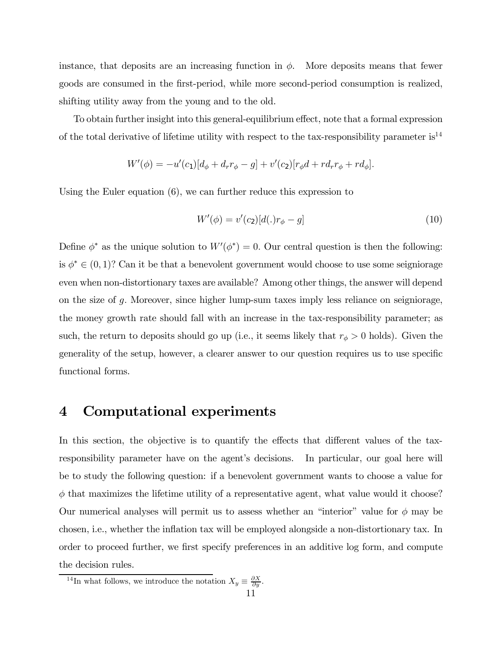instance, that deposits are an increasing function in  $\phi$ . More deposits means that fewer goods are consumed in the first-period, while more second-period consumption is realized, shifting utility away from the young and to the old.

To obtain further insight into this general-equilibrium effect, note that a formal expression of the total derivative of lifetime utility with respect to the tax-responsibility parameter  $is^{14}$ 

$$
W'(\phi) = -u'(c_1)[d_{\phi} + d_r r_{\phi} - g] + v'(c_2)[r_{\phi}d + r d_r r_{\phi} + r d_{\phi}].
$$

Using the Euler equation (6), we can further reduce this expression to

$$
W'(\phi) = v'(c_2)[d(.)r_{\phi} - g]
$$
\n(10)

Define  $\phi^*$  as the unique solution to  $W'(\phi^*) = 0$ . Our central question is then the following: is  $\phi^* \in (0,1)$ ? Can it be that a benevolent government would choose to use some seigniorage even when non-distortionary taxes are available? Among other things, the answer will depend on the size of g. Moreover, since higher lump-sum taxes imply less reliance on seigniorage, the money growth rate should fall with an increase in the tax-responsibility parameter; as such, the return to deposits should go up (i.e., it seems likely that  $r_{\phi} > 0$  holds). Given the generality of the setup, however, a clearer answer to our question requires us to use specific functional forms.

### 4 Computational experiments

In this section, the objective is to quantify the effects that different values of the taxresponsibility parameter have on the agent's decisions. In particular, our goal here will be to study the following question: if a benevolent government wants to choose a value for  $\phi$  that maximizes the lifetime utility of a representative agent, what value would it choose? Our numerical analyses will permit us to assess whether an "interior" value for  $\phi$  may be chosen, i.e., whether the inflation tax will be employed alongside a non-distortionary tax. In order to proceed further, we first specify preferences in an additive log form, and compute the decision rules.

<sup>&</sup>lt;sup>14</sup>In what follows, we introduce the notation  $X_y \equiv \frac{\partial X}{\partial y}$ .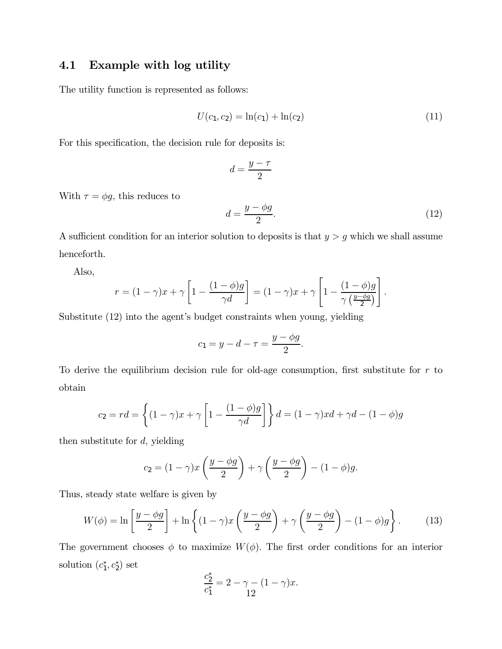### 4.1 Example with log utility

The utility function is represented as follows:

$$
U(c_1, c_2) = \ln(c_1) + \ln(c_2)
$$
\n(11)

For this specification, the decision rule for deposits is:

$$
d=\frac{y-\tau}{2}
$$

With  $\tau = \phi g$ , this reduces to

$$
d = \frac{y - \phi g}{2}.\tag{12}
$$

.

A sufficient condition for an interior solution to deposits is that  $y>g$  which we shall assume henceforth.

Also,

$$
r = (1 - \gamma)x + \gamma \left[1 - \frac{(1 - \phi)g}{\gamma d}\right] = (1 - \gamma)x + \gamma \left[1 - \frac{(1 - \phi)g}{\gamma \left(\frac{y - \phi g}{2}\right)}\right]
$$

Substitute  $(12)$  into the agent's budget constraints when young, yielding

$$
c_1 = y - d - \tau = \frac{y - \phi g}{2}.
$$

To derive the equilibrium decision rule for old-age consumption, first substitute for  $r$  to obtain

$$
c_2 = rd = \left\{ (1 - \gamma)x + \gamma \left[ 1 - \frac{(1 - \phi)g}{\gamma d} \right] \right\} d = (1 - \gamma)xd + \gamma d - (1 - \phi)g
$$

then substitute for  $d$ , yielding

$$
c_2 = (1 - \gamma)x \left(\frac{y - \phi g}{2}\right) + \gamma \left(\frac{y - \phi g}{2}\right) - (1 - \phi)g.
$$

Thus, steady state welfare is given by

$$
W(\phi) = \ln\left[\frac{y - \phi g}{2}\right] + \ln\left\{(1 - \gamma)x\left(\frac{y - \phi g}{2}\right) + \gamma\left(\frac{y - \phi g}{2}\right) - (1 - \phi)g\right\}.
$$
 (13)

The government chooses  $\phi$  to maximize  $W(\phi)$ . The first order conditions for an interior solution  $(c_1^*, c_2^*)$  set

$$
\frac{c_2^*}{c_1^*} = 2 - \gamma - (1 - \gamma)x.
$$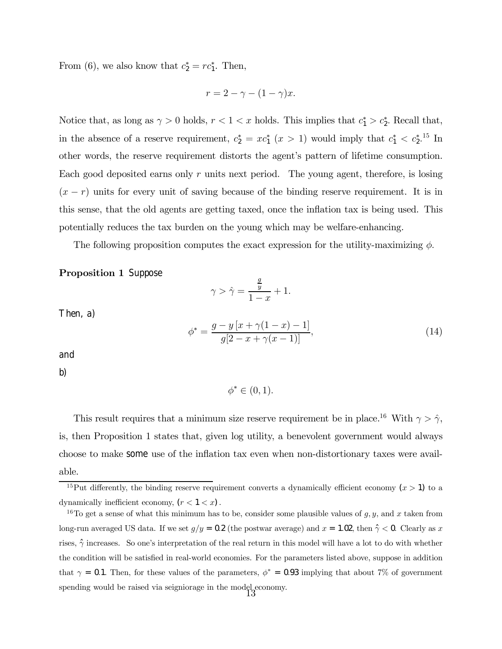From (6), we also know that  $c_2^* = rc_1^*$ . Then,

$$
r = 2 - \gamma - (1 - \gamma)x.
$$

Notice that, as long as  $\gamma > 0$  holds,  $r < 1 < x$  holds. This implies that  $c_1^* > c_2^*$ . Recall that, in the absence of a reserve requirement,  $c_2^* = xc_1^*$   $(x > 1)$  would imply that  $c_1^* < c_2^{*,15}$  In other words, the reserve requirement distorts the agent's pattern of lifetime consumption. Each good deposited earns only  $r$  units next period. The young agent, therefore, is losing  $(x - r)$  units for every unit of saving because of the binding reserve requirement. It is in this sense, that the old agents are getting taxed, once the inflation tax is being used. This potentially reduces the tax burden on the young which may be welfare-enhancing.

The following proposition computes the exact expression for the utility-maximizing  $\phi$ .

#### Proposition 1 Suppose

$$
\gamma > \hat{\gamma} = \frac{\frac{g}{y}}{1 - x} + 1.
$$

Then, a)

$$
\phi^* = \frac{g - y\left[x + \gamma(1 - x) - 1\right]}{g\left[2 - x + \gamma(x - 1)\right]},\tag{14}
$$

and

b)

$$
\phi^* \in (0,1).
$$

This result requires that a minimum size reserve requirement be in place.<sup>16</sup> With  $\gamma > \hat{\gamma}$ , is, then Proposition 1 states that, given log utility, a benevolent government would always choose to make some use of the inflation tax even when non-distortionary taxes were available.

<sup>&</sup>lt;sup>15</sup>Put differently, the binding reserve requirement converts a dynamically efficient economy  $(x > 1)$  to a dynamically inefficient economy,  $(r < 1 < x)$ .

<sup>&</sup>lt;sup>16</sup>To get a sense of what this minimum has to be, consider some plausible values of  $g, y$ , and x taken from long-run averaged US data. If we set  $g/y = 0.2$  (the postwar average) and  $x = 1.02$ , then  $\hat{\gamma} < 0$ . Clearly as x rises,  $\hat{\gamma}$  increases. So one's interpretation of the real return in this model will have a lot to do with whether the condition will be satisfied in real-world economies. For the parameters listed above, suppose in addition that  $\gamma = 0.1$ . Then, for these values of the parameters,  $\phi^* = 0.93$  implying that about 7% of government spending would be raised via seigniorage in the model economy.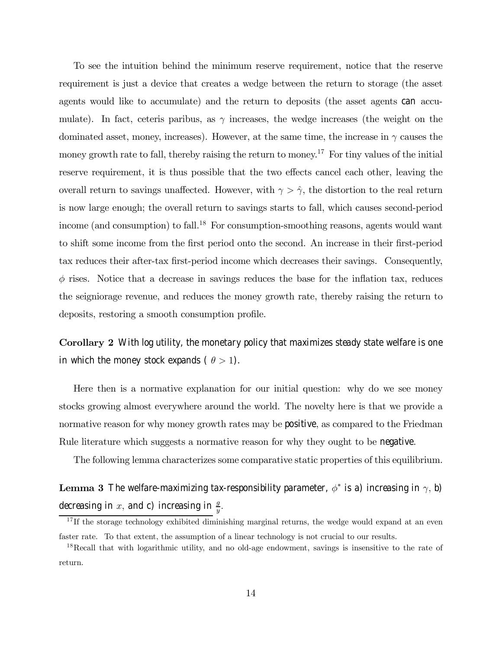To see the intuition behind the minimum reserve requirement, notice that the reserve requirement is just a device that creates a wedge between the return to storage (the asset agents would like to accumulate) and the return to deposits (the asset agents can accumulate). In fact, ceteris paribus, as  $\gamma$  increases, the wedge increases (the weight on the dominated asset, money, increases). However, at the same time, the increase in  $\gamma$  causes the money growth rate to fall, thereby raising the return to money.<sup>17</sup> For tiny values of the initial reserve requirement, it is thus possible that the two effects cancel each other, leaving the overall return to savings unaffected. However, with  $\gamma > \hat{\gamma}$ , the distortion to the real return is now large enough; the overall return to savings starts to fall, which causes second-period income (and consumption) to fall.<sup>18</sup> For consumption-smoothing reasons, agents would want to shift some income from the first period onto the second. An increase in their first-period tax reduces their after-tax first-period income which decreases their savings. Consequently,  $\phi$  rises. Notice that a decrease in savings reduces the base for the inflation tax, reduces the seigniorage revenue, and reduces the money growth rate, thereby raising the return to deposits, restoring a smooth consumption profile.

Corollary 2 With log utility, the monetary policy that maximizes steady state welfare is one in which the money stock expands (  $\theta > 1$ ).

Here then is a normative explanation for our initial question: why do we see money stocks growing almost everywhere around the world. The novelty here is that we provide a normative reason for why money growth rates may be positive, as compared to the Friedman Rule literature which suggests a normative reason for why they ought to be negative.

The following lemma characterizes some comparative static properties of this equilibrium.

**Lemma 3** The welfare-maximizing tax-responsibility parameter,  $\phi^*$  is a) increasing in  $\gamma$ , b) decreasing in  $x$ , and c) increasing in  $\frac{g}{y}$ .

<sup>&</sup>lt;sup>17</sup> If the storage technology exhibited diminishing marginal returns, the wedge would expand at an even faster rate. To that extent, the assumption of a linear technology is not crucial to our results.

<sup>&</sup>lt;sup>18</sup>Recall that with logarithmic utility, and no old-age endowment, savings is insensitive to the rate of return.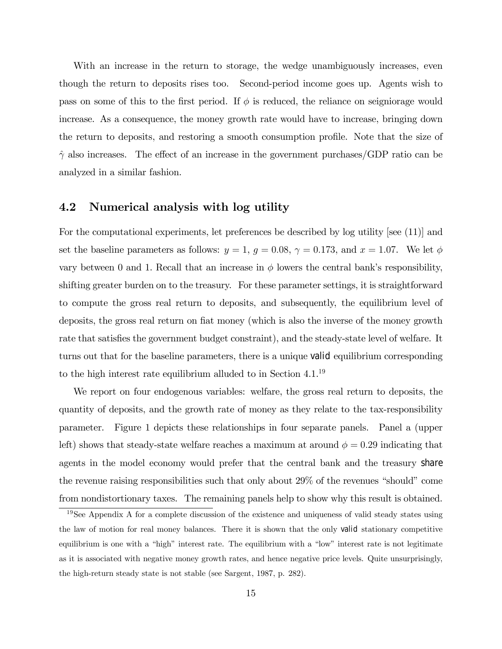With an increase in the return to storage, the wedge unambiguously increases, even though the return to deposits rises too. Second-period income goes up. Agents wish to pass on some of this to the first period. If  $\phi$  is reduced, the reliance on seigniorage would increase. As a consequence, the money growth rate would have to increase, bringing down the return to deposits, and restoring a smooth consumption profile. Note that the size of  $\hat{\gamma}$  also increases. The effect of an increase in the government purchases/GDP ratio can be analyzed in a similar fashion.

#### 4.2 Numerical analysis with log utility

For the computational experiments, let preferences be described by log utility [see (11)] and set the baseline parameters as follows:  $y = 1$ ,  $g = 0.08$ ,  $\gamma = 0.173$ , and  $x = 1.07$ . We let  $\phi$ vary between 0 and 1. Recall that an increase in  $\phi$  lowers the central bank's responsibility, shifting greater burden on to the treasury. For these parameter settings, it is straightforward to compute the gross real return to deposits, and subsequently, the equilibrium level of deposits, the gross real return on fiat money (which is also the inverse of the money growth rate that satisfies the government budget constraint), and the steady-state level of welfare. It turns out that for the baseline parameters, there is a unique valid equilibrium corresponding to the high interest rate equilibrium alluded to in Section 4.1.19

We report on four endogenous variables: welfare, the gross real return to deposits, the quantity of deposits, and the growth rate of money as they relate to the tax-responsibility parameter. Figure 1 depicts these relationships in four separate panels. Panel a (upper left) shows that steady-state welfare reaches a maximum at around  $\phi = 0.29$  indicating that agents in the model economy would prefer that the central bank and the treasury share the revenue raising responsibilities such that only about  $29\%$  of the revenues "should" come from nondistortionary taxes. The remaining panels help to show why this result is obtained.

 $19$ See Appendix A for a complete discussion of the existence and uniqueness of valid steady states using the law of motion for real money balances. There it is shown that the only valid stationary competitive equilibrium is one with a "high" interest rate. The equilibrium with a "low" interest rate is not legitimate as it is associated with negative money growth rates, and hence negative price levels. Quite unsurprisingly, the high-return steady state is not stable (see Sargent, 1987, p. 282).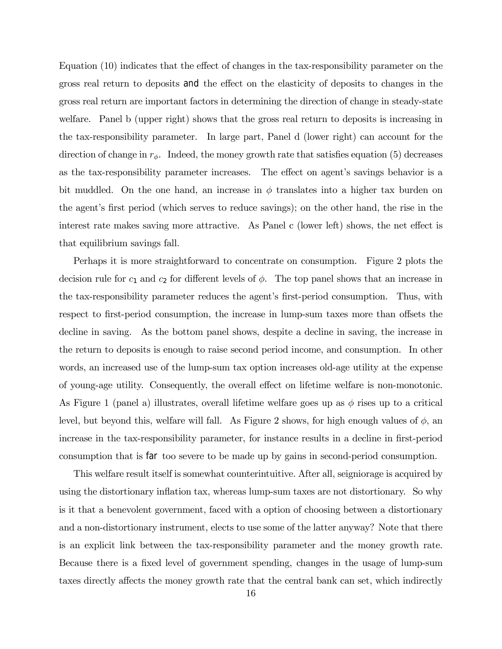Equation (10) indicates that the effect of changes in the tax-responsibility parameter on the gross real return to deposits and the effect on the elasticity of deposits to changes in the gross real return are important factors in determining the direction of change in steady-state welfare. Panel b (upper right) shows that the gross real return to deposits is increasing in the tax-responsibility parameter. In large part, Panel d (lower right) can account for the direction of change in  $r_{\phi}$ . Indeed, the money growth rate that satisfies equation (5) decreases as the tax-responsibility parameter increases. The effect on agent's savings behavior is a bit muddled. On the one hand, an increase in  $\phi$  translates into a higher tax burden on the agent's first period (which serves to reduce savings); on the other hand, the rise in the interest rate makes saving more attractive. As Panel c (lower left) shows, the net effect is that equilibrium savings fall.

Perhaps it is more straightforward to concentrate on consumption. Figure 2 plots the decision rule for  $c_1$  and  $c_2$  for different levels of  $\phi$ . The top panel shows that an increase in the tax-responsibility parameter reduces the agent's first-period consumption. Thus, with respect to first-period consumption, the increase in lump-sum taxes more than offsets the decline in saving. As the bottom panel shows, despite a decline in saving, the increase in the return to deposits is enough to raise second period income, and consumption. In other words, an increased use of the lump-sum tax option increases old-age utility at the expense of young-age utility. Consequently, the overall effect on lifetime welfare is non-monotonic. As Figure 1 (panel a) illustrates, overall lifetime welfare goes up as  $\phi$  rises up to a critical level, but beyond this, welfare will fall. As Figure 2 shows, for high enough values of  $\phi$ , an increase in the tax-responsibility parameter, for instance results in a decline in first-period consumption that is far too severe to be made up by gains in second-period consumption.

This welfare result itself is somewhat counterintuitive. After all, seigniorage is acquired by using the distortionary inflation tax, whereas lump-sum taxes are not distortionary. So why is it that a benevolent government, faced with a option of choosing between a distortionary and a non-distortionary instrument, elects to use some of the latter anyway? Note that there is an explicit link between the tax-responsibility parameter and the money growth rate. Because there is a fixed level of government spending, changes in the usage of lump-sum taxes directly affects the money growth rate that the central bank can set, which indirectly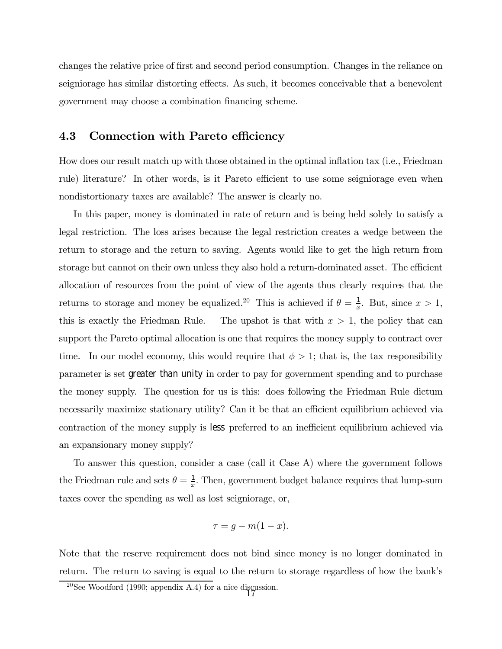changes the relative price of first and second period consumption. Changes in the reliance on seigniorage has similar distorting effects. As such, it becomes conceivable that a benevolent government may choose a combination financing scheme.

#### 4.3 Connection with Pareto efficiency

How does our result match up with those obtained in the optimal inflation tax (i.e., Friedman rule) literature? In other words, is it Pareto efficient to use some seigniorage even when nondistortionary taxes are available? The answer is clearly no.

In this paper, money is dominated in rate of return and is being held solely to satisfy a legal restriction. The loss arises because the legal restriction creates a wedge between the return to storage and the return to saving. Agents would like to get the high return from storage but cannot on their own unless they also hold a return-dominated asset. The efficient allocation of resources from the point of view of the agents thus clearly requires that the returns to storage and money be equalized.<sup>20</sup> This is achieved if  $\theta = \frac{1}{x}$ . But, since  $x > 1$ , this is exactly the Friedman Rule. The upshot is that with  $x > 1$ , the policy that can support the Pareto optimal allocation is one that requires the money supply to contract over time. In our model economy, this would require that  $\phi > 1$ ; that is, the tax responsibility parameter is set greater than unity in order to pay for government spending and to purchase the money supply. The question for us is this: does following the Friedman Rule dictum necessarily maximize stationary utility? Can it be that an efficient equilibrium achieved via contraction of the money supply is less preferred to an inefficient equilibrium achieved via an expansionary money supply?

To answer this question, consider a case (call it Case A) where the government follows the Friedman rule and sets  $\theta = \frac{1}{x}$ . Then, government budget balance requires that lump-sum taxes cover the spending as well as lost seigniorage, or,

$$
\tau = g - m(1 - x).
$$

Note that the reserve requirement does not bind since money is no longer dominated in return. The return to saving is equal to the return to storage regardless of how the bank's

<sup>&</sup>lt;sup>20</sup>See Woodford (1990; appendix A.4) for a nice discussion.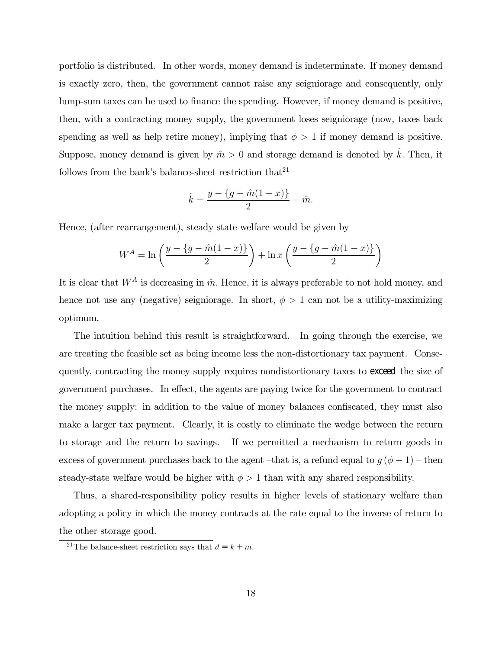portfolio is distributed. In other words, money demand is indeterminate. If money demand is exactly zero, then, the government cannot raise any seigniorage and consequently, only lump-sum taxes can be used to finance the spending. However, if money demand is positive, then, with a contracting money supply, the government loses seigniorage (now, taxes back spending as well as help retire money), implying that  $\phi > 1$  if money demand is positive. Suppose, money demand is given by  $\hat{m} > 0$  and storage demand is denoted by  $\hat{k}$ . Then, it follows from the bank's balance-sheet restriction that  $2^1$ 

$$
\hat{k} = \frac{y - \{g - \hat{m}(1 - x)\}}{2} - \hat{m}.
$$

Hence, (after rearrangement), steady state welfare would be given by

$$
W^{A} = \ln\left(\frac{y - \{g - \hat{m}(1-x)\}}{2}\right) + \ln x \left(\frac{y - \{g - \hat{m}(1-x)\}}{2}\right)
$$

It is clear that  $W^A$  is decreasing in  $\hat{m}$ . Hence, it is always preferable to not hold money, and hence not use any (negative) seigniorage. In short,  $\phi > 1$  can not be a utility-maximizing optimum.

The intuition behind this result is straightforward. In going through the exercise, we are treating the feasible set as being income less the non-distortionary tax payment. Consequently, contracting the money supply requires nondistortionary taxes to exceed the size of government purchases. In effect, the agents are paying twice for the government to contract the money supply: in addition to the value of money balances confiscated, they must also make a larger tax payment. Clearly, it is costly to eliminate the wedge between the return to storage and the return to savings. If we permitted a mechanism to return goods in excess of government purchases back to the agent –that is, a refund equal to  $g (\phi - 1)$  – then steady-state welfare would be higher with  $\phi > 1$  than with any shared responsibility.

Thus, a shared-responsibility policy results in higher levels of stationary welfare than adopting a policy in which the money contracts at the rate equal to the inverse of return to the other storage good.

<sup>&</sup>lt;sup>21</sup>The balance-sheet restriction says that  $d = k + m$ .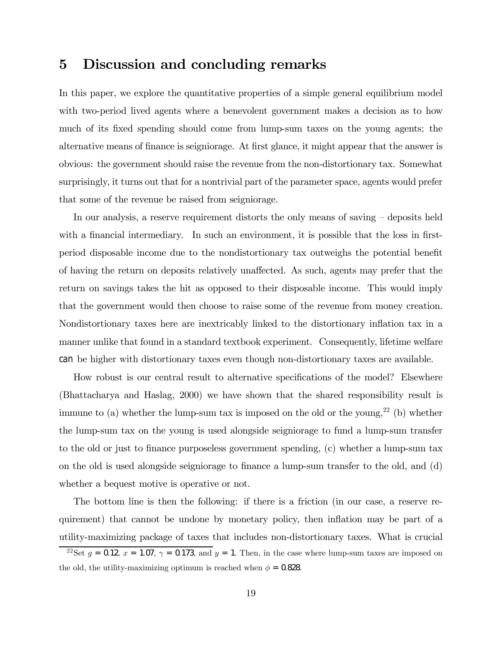## 5 Discussion and concluding remarks

In this paper, we explore the quantitative properties of a simple general equilibrium model with two-period lived agents where a benevolent government makes a decision as to how much of its fixed spending should come from lump-sum taxes on the young agents; the alternative means of finance is seigniorage. At first glance, it might appear that the answer is obvious: the government should raise the revenue from the non-distortionary tax. Somewhat surprisingly, it turns out that for a nontrivial part of the parameter space, agents would prefer that some of the revenue be raised from seigniorage.

In our analysis, a reserve requirement distorts the only means of saving  $-$  deposits held with a financial intermediary. In such an environment, it is possible that the loss in firstperiod disposable income due to the nondistortionary tax outweighs the potential benefit of having the return on deposits relatively unaffected. As such, agents may prefer that the return on savings takes the hit as opposed to their disposable income. This would imply that the government would then choose to raise some of the revenue from money creation. Nondistortionary taxes here are inextricably linked to the distortionary inflation tax in a manner unlike that found in a standard textbook experiment. Consequently, lifetime welfare can be higher with distortionary taxes even though non-distortionary taxes are available.

How robust is our central result to alternative specifications of the model? Elsewhere (Bhattacharya and Haslag, 2000) we have shown that the shared responsibility result is immune to (a) whether the lump-sum tax is imposed on the old or the young,<sup>22</sup> (b) whether the lump-sum tax on the young is used alongside seigniorage to fund a lump-sum transfer to the old or just to finance purposeless government spending, (c) whether a lump-sum tax on the old is used alongside seigniorage to finance a lump-sum transfer to the old, and (d) whether a bequest motive is operative or not.

The bottom line is then the following: if there is a friction (in our case, a reserve requirement) that cannot be undone by monetary policy, then inflation may be part of a utility-maximizing package of taxes that includes non-distortionary taxes. What is crucial

<sup>&</sup>lt;sup>22</sup>Set  $g = 0.12$ ,  $x = 1.07$ ,  $\gamma = 0.173$ , and  $y = 1$ . Then, in the case where lump-sum taxes are imposed on the old, the utility-maximizing optimum is reached when  $\phi = 0.828$ .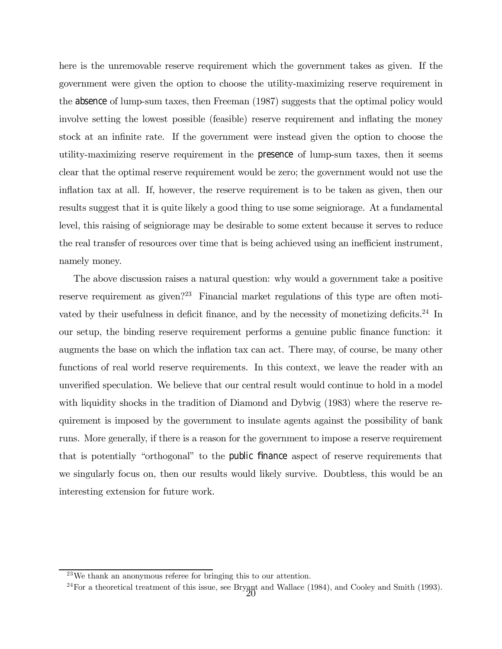here is the unremovable reserve requirement which the government takes as given. If the government were given the option to choose the utility-maximizing reserve requirement in the absence of lump-sum taxes, then Freeman (1987) suggests that the optimal policy would involve setting the lowest possible (feasible) reserve requirement and inflating the money stock at an infinite rate. If the government were instead given the option to choose the utility-maximizing reserve requirement in the presence of lump-sum taxes, then it seems clear that the optimal reserve requirement would be zero; the government would not use the inflation tax at all. If, however, the reserve requirement is to be taken as given, then our results suggest that it is quite likely a good thing to use some seigniorage. At a fundamental level, this raising of seigniorage may be desirable to some extent because it serves to reduce the real transfer of resources over time that is being achieved using an inefficient instrument, namely money.

The above discussion raises a natural question: why would a government take a positive reserve requirement as given?<sup>23</sup> Financial market regulations of this type are often motivated by their usefulness in deficit finance, and by the necessity of monetizing deficits.<sup>24</sup> In our setup, the binding reserve requirement performs a genuine public finance function: it augments the base on which the inflation tax can act. There may, of course, be many other functions of real world reserve requirements. In this context, we leave the reader with an unverified speculation. We believe that our central result would continue to hold in a model with liquidity shocks in the tradition of Diamond and Dybvig (1983) where the reserve requirement is imposed by the government to insulate agents against the possibility of bank runs. More generally, if there is a reason for the government to impose a reserve requirement that is potentially "orthogonal" to the public finance aspect of reserve requirements that we singularly focus on, then our results would likely survive. Doubtless, this would be an interesting extension for future work.

 $^{23}$ We thank an anonymous referee for bringing this to our attention.

<sup>&</sup>lt;sup>24</sup>For a theoretical treatment of this issue, see Bryant and Wallace (1984), and Cooley and Smith (1993).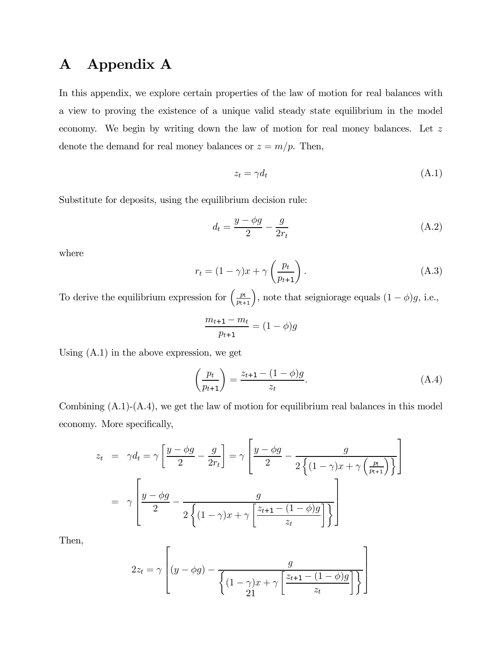# A Appendix A

In this appendix, we explore certain properties of the law of motion for real balances with a view to proving the existence of a unique valid steady state equilibrium in the model economy. We begin by writing down the law of motion for real money balances. Let z denote the demand for real money balances or  $z = m/p$ . Then,

$$
z_t = \gamma d_t \tag{A.1}
$$

Substitute for deposits, using the equilibrium decision rule:

$$
d_t = \frac{y - \phi g}{2} - \frac{g}{2r_t} \tag{A.2}
$$

where

$$
r_t = (1 - \gamma)x + \gamma \left(\frac{p_t}{p_{t+1}}\right). \tag{A.3}
$$

To derive the equilibrium expression for  $\left(\frac{p_t}{p_{t+1}}\right)$ , note that seigniorage equals  $(1 - \phi)g$ , i.e.,

$$
\frac{m_{t+1} - m_t}{p_{t+1}} = (1 - \phi)g
$$

Using (A.1) in the above expression, we get

$$
\left(\frac{p_t}{p_{t+1}}\right) = \frac{z_{t+1} - (1 - \phi)g}{z_t}.
$$
\n(A.4)

Combining  $(A.1)-(A.4)$ , we get the law of motion for equilibrium real balances in this model economy. More specifically,

$$
z_t = \gamma d_t = \gamma \left[ \frac{y - \phi g}{2} - \frac{g}{2r_t} \right] = \gamma \left[ \frac{y - \phi g}{2} - \frac{g}{2 \left\{ (1 - \gamma) x + \gamma \left( \frac{p_t}{p_{t+1}} \right) \right\}} \right]
$$

$$
= \gamma \left[ \frac{y - \phi g}{2} - \frac{g}{2 \left\{ (1 - \gamma) x + \gamma \left[ \frac{z_{t+1} - (1 - \phi) g}{z_t} \right] \right\}} \right]
$$

Then,

$$
2z_t = \gamma \left[ (y - \phi g) - \frac{g}{\left\{ (1 - \gamma)x + \gamma \left[ \frac{z_{t+1} - (1 - \phi)g}{z_t} \right] \right\}} \right]
$$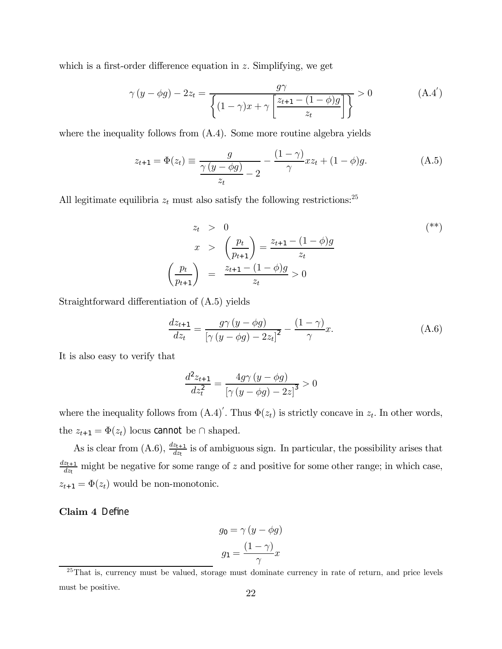which is a first-order difference equation in z. Simplifying, we get

$$
\gamma(y - \phi g) - 2z_t = \frac{g\gamma}{\left\{ (1 - \gamma)x + \gamma \left[ \frac{z_{t+1} - (1 - \phi)g}{z_t} \right] \right\}} > 0
$$
\n(A.4')

where the inequality follows from  $(A.4)$ . Some more routine algebra yields

$$
z_{t+1} = \Phi(z_t) \equiv \frac{g}{\frac{\gamma (y - \phi g)}{z_t} - 2} - \frac{(1 - \gamma)}{\gamma} x z_t + (1 - \phi) g.
$$
 (A.5)

All legitimate equilibria  $z_t$  must also satisfy the following restrictions:<sup>25</sup>

$$
z_{t} > 0
$$
\n
$$
x > \left(\frac{p_{t}}{p_{t+1}}\right) = \frac{z_{t+1} - (1 - \phi)g}{z_{t}}
$$
\n
$$
\left(\frac{p_{t}}{p_{t+1}}\right) = \frac{z_{t+1} - (1 - \phi)g}{z_{t}} > 0
$$
\n
$$
(**)
$$

Straightforward differentiation of (A.5) yields

$$
\frac{dz_{t+1}}{dz_t} = \frac{g\gamma\left(y - \phi g\right)}{\left[\gamma\left(y - \phi g\right) - 2z_t\right]^2} - \frac{(1 - \gamma)}{\gamma}x.
$$
\n(A.6)

It is also easy to verify that

$$
\frac{d^2 z_{t+1}}{dz_t^2} = \frac{4g\gamma (y - \phi g)}{\left[\gamma (y - \phi g) - 2z\right]^3} > 0
$$

where the inequality follows from  $(A.4)'$ . Thus  $\Phi(z_t)$  is strictly concave in  $z_t$ . In other words, the  $z_{t+1} = \Phi(z_t)$  locus cannot be ∩ shaped.

As is clear from (A.6),  $\frac{dz_{t+1}}{dz_t}$  is of ambiguous sign. In particular, the possibility arises that  $\frac{dz_{t+1}}{dz_t}$  might be negative for some range of z and positive for some other range; in which case,  $z_{t+1} = \Phi(z_t)$  would be non-monotonic.

Claim 4 Define

$$
g_0 = \gamma (y - \phi g)
$$

$$
g_1 = \frac{(1 - \gamma)}{\gamma} x
$$

 $25$ That is, currency must be valued, storage must dominate currency in rate of return, and price levels must be positive.<br>
22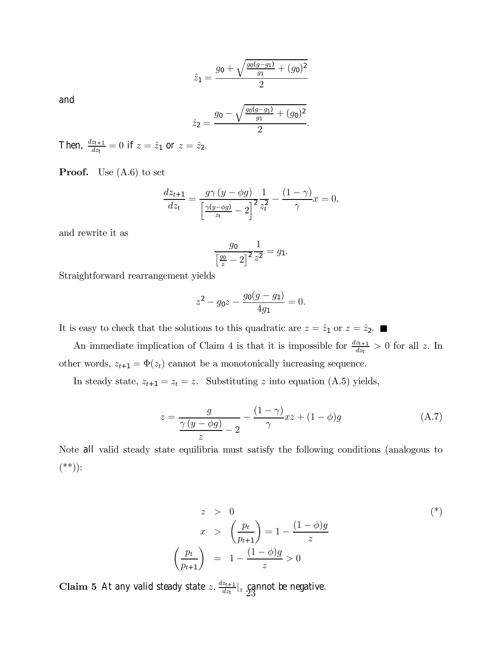$$
\hat{z}_1 = \frac{g_0 + \sqrt{\frac{g_0(g - g_1)}{g_1} + (g_0)^2}}{2}
$$

and

$$
\hat{z}_2 = \frac{g_0 - \sqrt{\frac{g_0(g - g_1)}{g_1} + (g_0)^2}}{2}.
$$

Then,  $\frac{dz_{t+1}}{dz_t} = 0$  if  $z = \hat{z}_1$  or  $z = \hat{z}_2$ .

**Proof.** Use  $(A.6)$  to set

$$
\frac{dz_{t+1}}{dz_t} = \frac{g\gamma (y - \phi g)}{\left[\frac{\gamma (y - \phi g)}{z_t} - 2\right]^2} \frac{1}{z_t^2} - \frac{(1 - \gamma)}{\gamma} x = 0,
$$

and rewrite it as

$$
\frac{g_0}{\left[\frac{g_0}{z} - 2\right]^2} \frac{1}{z^2} = g_1.
$$

Straightforward rearrangement yields

$$
z^2 - g_0 z - \frac{g_0(g - g_1)}{4g_1} = 0.
$$

It is easy to check that the solutions to this quadratic are  $z = \hat{z}_1$  or  $z = \hat{z}_2$ .

An immediate implication of Claim 4 is that it is impossible for  $\frac{dz_{t+1}}{dz_t} > 0$  for all z. In other words,  $z_{t+1} = \Phi(z_t)$  cannot be a monotonically increasing sequence.

In steady state,  $z_{t+1} = z_t = z$ . Substituting z into equation (A.5) yields,

$$
z = \frac{g}{\frac{\gamma(y - \phi g)}{z} - 2} - \frac{(1 - \gamma)}{\gamma} xz + (1 - \phi)g
$$
 (A.7)

Note all valid steady state equilibria must satisfy the following conditions (analogous to (\*\*)):

$$
z > 0
$$
  
\n
$$
x > \left(\frac{p_t}{p_{t+1}}\right) = 1 - \frac{(1-\phi)g}{z}
$$
  
\n
$$
\left(\frac{p_t}{p_{t+1}}\right) = 1 - \frac{(1-\phi)g}{z} > 0
$$
  
\n
$$
(*)
$$

**Claim 5** At any valid steady state  $z$ ,  $\frac{dz_{t+1}}{dz_t}|_z$  cannot be negative.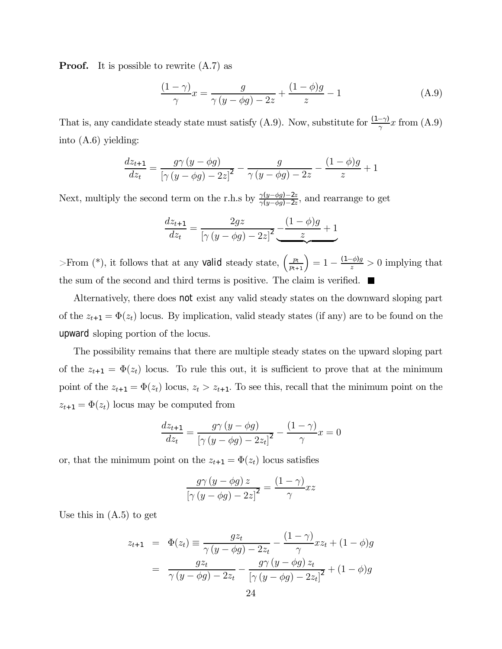**Proof.** It is possible to rewrite  $(A.7)$  as

$$
\frac{(1-\gamma)}{\gamma}x = \frac{g}{\gamma(y-\phi g) - 2z} + \frac{(1-\phi)g}{z} - 1\tag{A.9}
$$

That is, any candidate steady state must satisfy (A.9). Now, substitute for  $\frac{(1-\gamma)}{\gamma}x$  from (A.9) into (A.6) yielding:

$$
\frac{dz_{t+1}}{dz_t} = \frac{g\gamma (y - \phi g)}{\left[\gamma (y - \phi g) - 2z\right]^2} - \frac{g}{\gamma (y - \phi g) - 2z} - \frac{(1 - \phi)g}{z} + 1
$$

Next, multiply the second term on the r.h.s by  $\frac{\gamma(y-\phi g)-2z}{\gamma(y-\phi g)-2z}$ , and rearrange to get

$$
\frac{dz_{t+1}}{dz_t} = \frac{2gz}{\left[\gamma\left(y - \phi g\right) - 2z\right]^2} \underbrace{-\frac{(1 - \phi)g}{z} + 1}_{\infty}
$$

>From (\*), it follows that at any valid steady state,  $\left(\frac{p_t}{p_{t+1}}\right) = 1 - \frac{(1-\phi)g}{z} > 0$  implying that the sum of the second and third terms is positive. The claim is verified.  $\blacksquare$ 

Alternatively, there does not exist any valid steady states on the downward sloping part of the  $z_{t+1} = \Phi(z_t)$  locus. By implication, valid steady states (if any) are to be found on the upward sloping portion of the locus.

The possibility remains that there are multiple steady states on the upward sloping part of the  $z_{t+1} = \Phi(z_t)$  locus. To rule this out, it is sufficient to prove that at the minimum point of the  $z_{t+1} = \Phi(z_t)$  locus,  $z_t > z_{t+1}$ . To see this, recall that the minimum point on the  $z_{t+1} = \Phi(z_t)$  locus may be computed from

$$
\frac{dz_{t+1}}{dz_t} = \frac{g\gamma (y - \phi g)}{\left[\gamma (y - \phi g) - 2z_t\right]^2} - \frac{(1 - \gamma)}{\gamma}x = 0
$$

or, that the minimum point on the  $z_{t+1} = \Phi(z_t)$  locus satisfies

$$
\frac{g\gamma (y - \phi g) z}{\left[\gamma (y - \phi g) - 2z\right]^2} = \frac{(1 - \gamma)}{\gamma} xz
$$

Use this in  $(A.5)$  to get

$$
z_{t+1} = \Phi(z_t) \equiv \frac{gz_t}{\gamma (y - \phi g) - 2z_t} - \frac{(1 - \gamma)}{\gamma} x z_t + (1 - \phi)g
$$

$$
= \frac{gz_t}{\gamma (y - \phi g) - 2z_t} - \frac{g\gamma (y - \phi g) z_t}{[\gamma (y - \phi g) - 2z_t]^2} + (1 - \phi)g
$$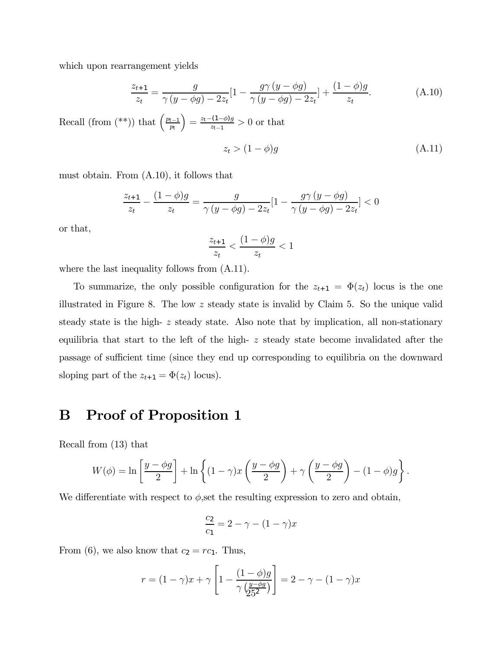which upon rearrangement yields

$$
\frac{z_{t+1}}{z_t} = \frac{g}{\gamma (y - \phi g) - 2z_t} [1 - \frac{g \gamma (y - \phi g)}{\gamma (y - \phi g) - 2z_t}] + \frac{(1 - \phi)g}{z_t}.
$$
(A.10)

Recall (from  $(**)$ ) that  $\left(\frac{p_{t-1}}{p_t}\right)$  $=\frac{z_t-(1-\phi)g}{z_{t-1}}>0$  or that

$$
z_t > (1 - \phi)g \tag{A.11}
$$

must obtain. From (A.10), it follows that

$$
\frac{z_{t+1}}{z_t} - \frac{(1-\phi)g}{z_t} = \frac{g}{\gamma(y - \phi g) - 2z_t} [1 - \frac{g\gamma(y - \phi g)}{\gamma(y - \phi g) - 2z_t}] < 0
$$

or that,

$$
\frac{z_{t+1}}{z_t} < \frac{(1-\phi)g}{z_t} < 1
$$

where the last inequality follows from  $(A.11)$ .

To summarize, the only possible configuration for the  $z_{t+1} = \Phi(z_t)$  locus is the one illustrated in Figure 8. The low z steady state is invalid by Claim 5. So the unique valid steady state is the high- z steady state. Also note that by implication, all non-stationary equilibria that start to the left of the high- z steady state become invalidated after the passage of sufficient time (since they end up corresponding to equilibria on the downward sloping part of the  $z_{t+1} = \Phi(z_t)$  locus).

# B Proof of Proposition 1

Recall from (13) that

$$
W(\phi) = \ln\left[\frac{y - \phi g}{2}\right] + \ln\left\{(1 - \gamma)x\left(\frac{y - \phi g}{2}\right) + \gamma\left(\frac{y - \phi g}{2}\right) - (1 - \phi)g\right\}.
$$

We differentiate with respect to  $\phi$ , set the resulting expression to zero and obtain,

$$
\frac{c_2}{c_1} = 2 - \gamma - (1 - \gamma)x
$$

From (6), we also know that  $c_2 = rc_1$ . Thus,

$$
r = (1 - \gamma)x + \gamma \left[ 1 - \frac{(1 - \phi)g}{\gamma \left( \frac{y - \phi g}{25^2} \right)} \right] = 2 - \gamma - (1 - \gamma)x
$$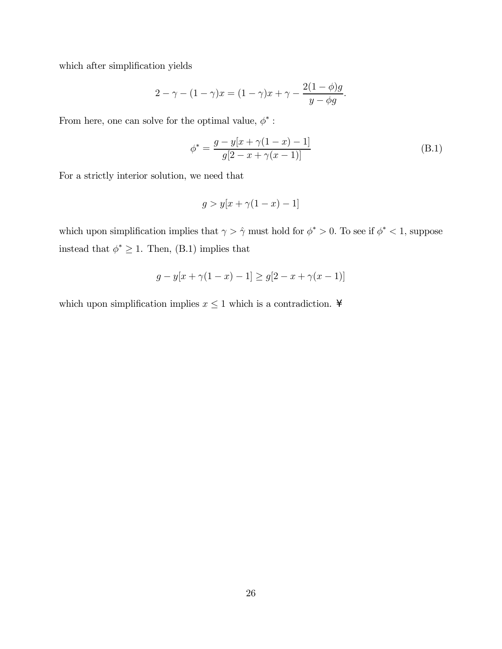which after simplification yields

$$
2 - \gamma - (1 - \gamma)x = (1 - \gamma)x + \gamma - \frac{2(1 - \phi)g}{y - \phi g}.
$$

From here, one can solve for the optimal value,  $\phi^*$  :

$$
\phi^* = \frac{g - y[x + \gamma(1 - x) - 1]}{g[2 - x + \gamma(x - 1)]}
$$
(B.1)

For a strictly interior solution, we need that

$$
g > y[x + \gamma(1 - x) - 1]
$$

which upon simplification implies that  $\gamma > \hat{\gamma}$  must hold for  $\phi^* > 0$ . To see if  $\phi^* < 1$ , suppose instead that  $\phi^* \geq 1.$  Then, (B.1) implies that

$$
g - y[x + \gamma(1 - x) - 1] \ge g[2 - x + \gamma(x - 1)]
$$

which upon simplification implies  $x \leq 1$  which is a contradiction. ¥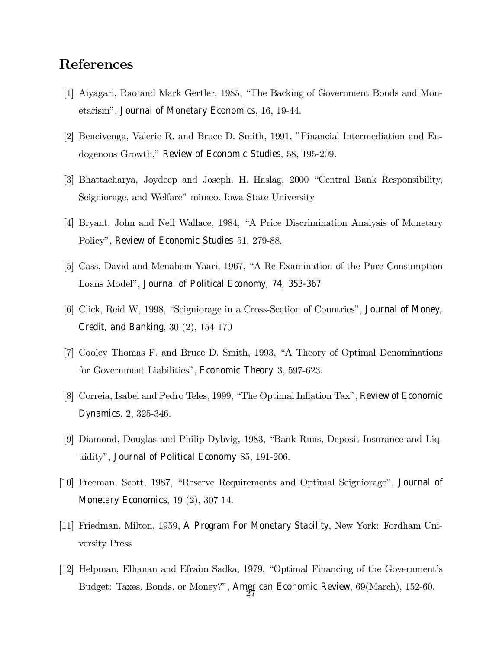# References

- [1] Aiyagari, Rao and Mark Gertler, 1985, "The Backing of Government Bonds and Monetarism", Journal of Monetary Economics, 16, 19-44.
- [2] Bencivenga, Valerie R. and Bruce D. Smith, 1991, "Financial Intermediation and Endogenous Growth," Review of Economic Studies, 58, 195-209.
- [3] Bhattacharya, Joydeep and Joseph. H. Haslag, 2000 "Central Bank Responsibility, Seigniorage, and Welfare" mimeo. Iowa State University
- [4] Bryant, John and Neil Wallace, 1984, "A Price Discrimination Analysis of Monetary Policy", Review of Economic Studies 51, 279-88.
- [5] Cass, David and Menahem Yaari, 1967, "A Re-Examination of the Pure Consumption Loans Model", Journal of Political Economy, 74, 353-367
- [6] Click, Reid W, 1998, "Seigniorage in a Cross-Section of Countries", Journal of Money, Credit, and Banking, 30 (2), 154-170
- [7] Cooley Thomas F. and Bruce D. Smith, 1993, "A Theory of Optimal Denominations for Government Liabilities", Economic Theory 3, 597-623.
- [8] Correia, Isabel and Pedro Teles, 1999, "The Optimal Inflation Tax", Review of Economic Dynamics, 2, 325-346.
- [9] Diamond, Douglas and Philip Dybvig, 1983, "Bank Runs, Deposit Insurance and Liquidity", Journal of Political Economy 85, 191-206.
- [10] Freeman, Scott, 1987, "Reserve Requirements and Optimal Seigniorage", Journal of Monetary Economics, 19 (2), 307-14.
- [11] Friedman, Milton, 1959, A Program For Monetary Stability, New York: Fordham University Press
- [12] Helpman, Elhanan and Efraim Sadka, 1979, "Optimal Financing of the Government's Budget: Taxes, Bonds, or Money?", American Economic Review, 69(March), 152-60.